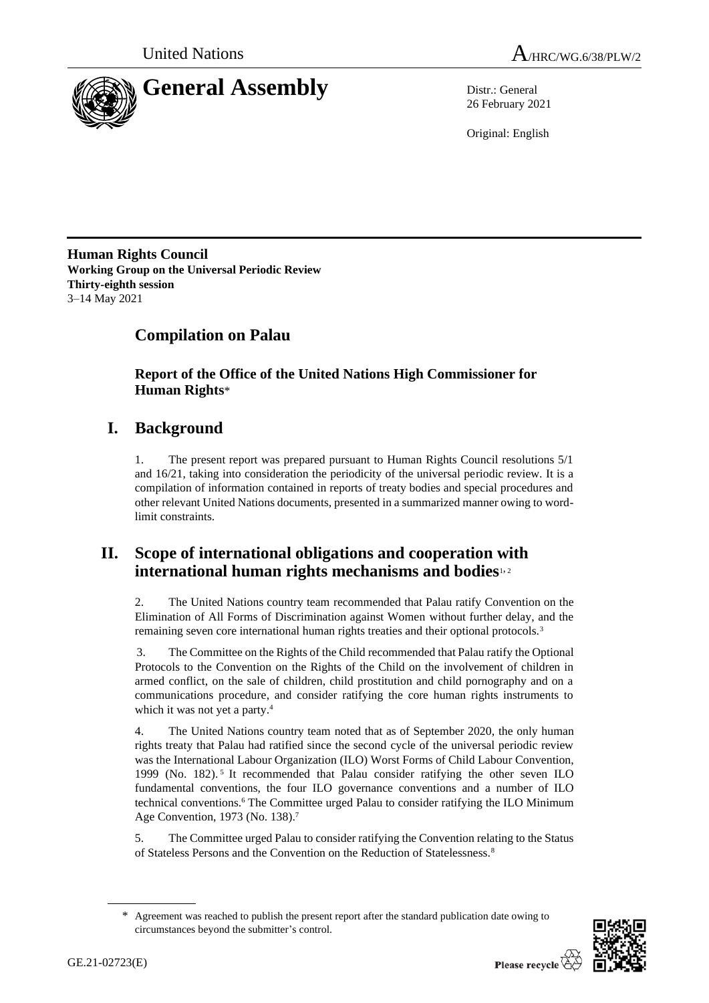



26 February 2021

Original: English

**Human Rights Council Working Group on the Universal Periodic Review Thirty-eighth session** 3–14 May 2021

# **Compilation on Palau**

**Report of the Office of the United Nations High Commissioner for Human Rights**\*

# **I. Background**

1. The present report was prepared pursuant to Human Rights Council resolutions 5/1 and 16/21, taking into consideration the periodicity of the universal periodic review. It is a compilation of information contained in reports of treaty bodies and special procedures and other relevant United Nations documents, presented in a summarized manner owing to wordlimit constraints.

## **II. Scope of international obligations and cooperation with international human rights mechanisms and bodies**1, <sup>2</sup>

2. The United Nations country team recommended that Palau ratify Convention on the Elimination of All Forms of Discrimination against Women without further delay, and the remaining seven core international human rights treaties and their optional protocols.<sup>3</sup>

3. The Committee on the Rights of the Child recommended that Palau ratify the Optional Protocols to the Convention on the Rights of the Child on the involvement of children in armed conflict, on the sale of children, child prostitution and child pornography and on a communications procedure, and consider ratifying the core human rights instruments to which it was not yet a party.<sup>4</sup>

4. The United Nations country team noted that as of September 2020, the only human rights treaty that Palau had ratified since the second cycle of the universal periodic review was the International Labour Organization (ILO) Worst Forms of Child Labour Convention, 1999 (No. 182). 5 It recommended that Palau consider ratifying the other seven ILO fundamental conventions, the four ILO governance conventions and a number of ILO technical conventions.<sup>6</sup> The Committee urged Palau to consider ratifying the ILO Minimum Age Convention, 1973 (No. 138). 7

5. The Committee urged Palau to consider ratifying the Convention relating to the Status of Stateless Persons and the Convention on the Reduction of Statelessness.<sup>8</sup>

<sup>\*</sup> Agreement was reached to publish the present report after the standard publication date owing to circumstances beyond the submitter's control.

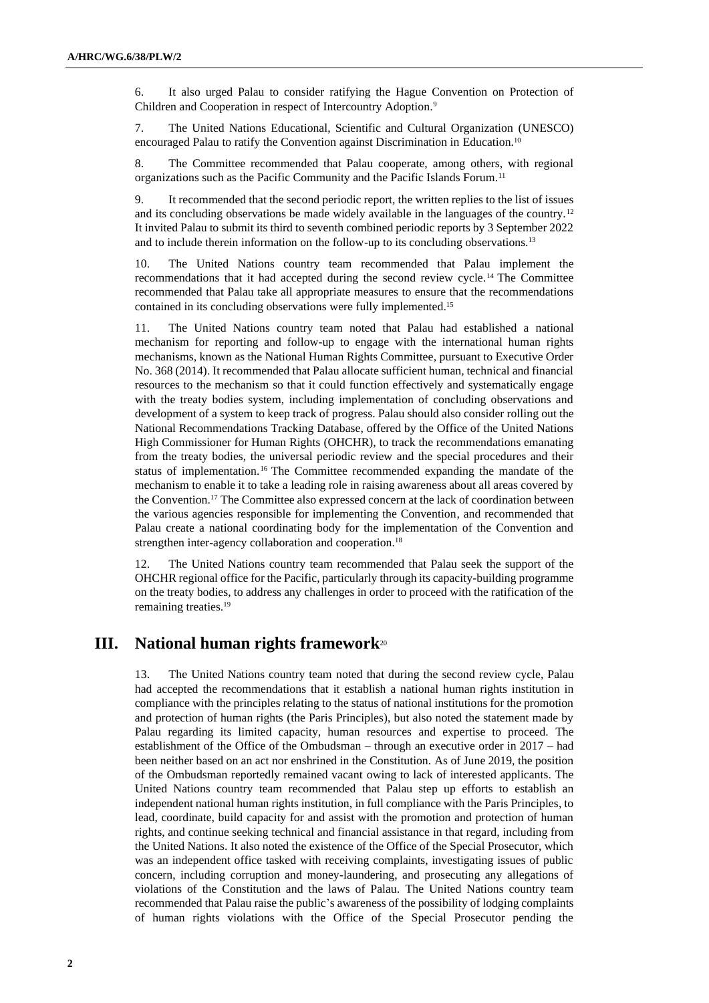6. It also urged Palau to consider ratifying the Hague Convention on Protection of Children and Cooperation in respect of Intercountry Adoption.<sup>9</sup>

7. The United Nations Educational, Scientific and Cultural Organization (UNESCO) encouraged Palau to ratify the Convention against Discrimination in Education.<sup>10</sup>

8. The Committee recommended that Palau cooperate, among others, with regional organizations such as the Pacific Community and the Pacific Islands Forum.<sup>11</sup>

9. It recommended that the second periodic report, the written replies to the list of issues and its concluding observations be made widely available in the languages of the country.<sup>12</sup> It invited Palau to submit its third to seventh combined periodic reports by 3 September 2022 and to include therein information on the follow-up to its concluding observations.<sup>13</sup>

10. The United Nations country team recommended that Palau implement the recommendations that it had accepted during the second review cycle.<sup>14</sup> The Committee recommended that Palau take all appropriate measures to ensure that the recommendations contained in its concluding observations were fully implemented.<sup>15</sup>

11. The United Nations country team noted that Palau had established a national mechanism for reporting and follow-up to engage with the international human rights mechanisms, known as the National Human Rights Committee, pursuant to Executive Order No. 368 (2014). It recommended that Palau allocate sufficient human, technical and financial resources to the mechanism so that it could function effectively and systematically engage with the treaty bodies system, including implementation of concluding observations and development of a system to keep track of progress. Palau should also consider rolling out the National Recommendations Tracking Database, offered by the Office of the United Nations High Commissioner for Human Rights (OHCHR), to track the recommendations emanating from the treaty bodies, the universal periodic review and the special procedures and their status of implementation.<sup>16</sup> The Committee recommended expanding the mandate of the mechanism to enable it to take a leading role in raising awareness about all areas covered by the Convention.<sup>17</sup> The Committee also expressed concern at the lack of coordination between the various agencies responsible for implementing the Convention, and recommended that Palau create a national coordinating body for the implementation of the Convention and strengthen inter-agency collaboration and cooperation.<sup>18</sup>

12. The United Nations country team recommended that Palau seek the support of the OHCHR regional office for the Pacific, particularly through its capacity-building programme on the treaty bodies, to address any challenges in order to proceed with the ratification of the remaining treaties.<sup>19</sup>

## **III. National human rights framework**<sup>20</sup>

13. The United Nations country team noted that during the second review cycle, Palau had accepted the recommendations that it establish a national human rights institution in compliance with the principles relating to the status of national institutions for the promotion and protection of human rights (the Paris Principles), but also noted the statement made by Palau regarding its limited capacity, human resources and expertise to proceed. The establishment of the Office of the Ombudsman – through an executive order in 2017 – had been neither based on an act nor enshrined in the Constitution. As of June 2019, the position of the Ombudsman reportedly remained vacant owing to lack of interested applicants. The United Nations country team recommended that Palau step up efforts to establish an independent national human rights institution, in full compliance with the Paris Principles, to lead, coordinate, build capacity for and assist with the promotion and protection of human rights, and continue seeking technical and financial assistance in that regard, including from the United Nations. It also noted the existence of the Office of the Special Prosecutor, which was an independent office tasked with receiving complaints, investigating issues of public concern, including corruption and money-laundering, and prosecuting any allegations of violations of the Constitution and the laws of Palau. The United Nations country team recommended that Palau raise the public's awareness of the possibility of lodging complaints of human rights violations with the Office of the Special Prosecutor pending the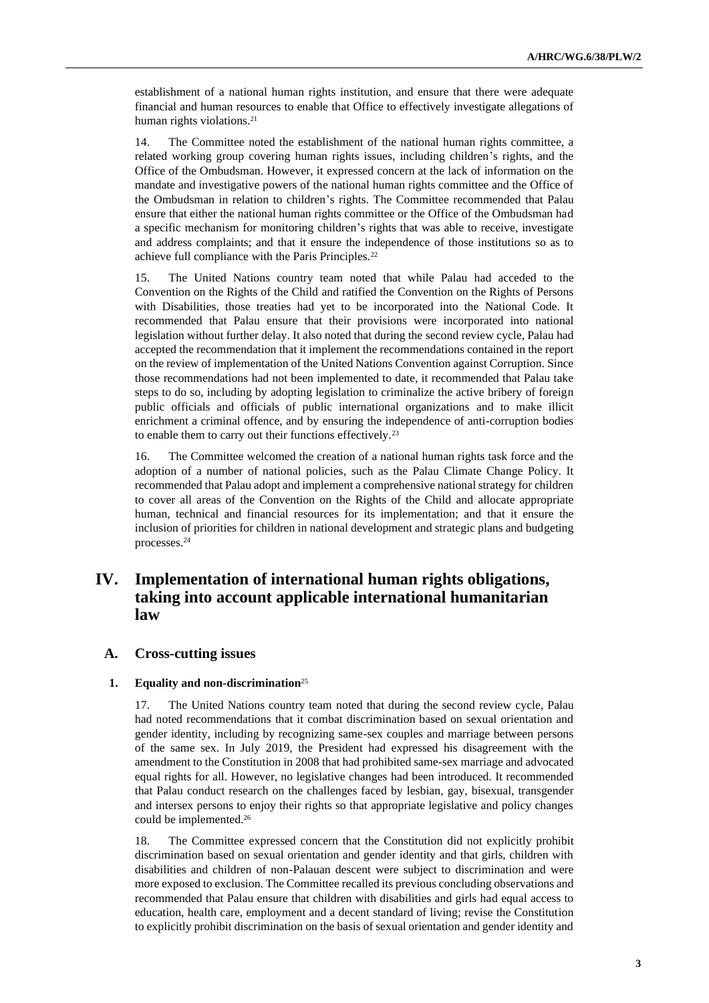establishment of a national human rights institution, and ensure that there were adequate financial and human resources to enable that Office to effectively investigate allegations of human rights violations.<sup>21</sup>

14. The Committee noted the establishment of the national human rights committee, a related working group covering human rights issues, including children's rights, and the Office of the Ombudsman. However, it expressed concern at the lack of information on the mandate and investigative powers of the national human rights committee and the Office of the Ombudsman in relation to children's rights. The Committee recommended that Palau ensure that either the national human rights committee or the Office of the Ombudsman had a specific mechanism for monitoring children's rights that was able to receive, investigate and address complaints; and that it ensure the independence of those institutions so as to achieve full compliance with the Paris Principles.<sup>22</sup>

15. The United Nations country team noted that while Palau had acceded to the Convention on the Rights of the Child and ratified the Convention on the Rights of Persons with Disabilities, those treaties had yet to be incorporated into the National Code. It recommended that Palau ensure that their provisions were incorporated into national legislation without further delay. It also noted that during the second review cycle, Palau had accepted the recommendation that it implement the recommendations contained in the report on the review of implementation of the United Nations Convention against Corruption. Since those recommendations had not been implemented to date, it recommended that Palau take steps to do so, including by adopting legislation to criminalize the active bribery of foreign public officials and officials of public international organizations and to make illicit enrichment a criminal offence, and by ensuring the independence of anti-corruption bodies to enable them to carry out their functions effectively.<sup>23</sup>

16. The Committee welcomed the creation of a national human rights task force and the adoption of a number of national policies, such as the Palau Climate Change Policy. It recommended that Palau adopt and implement a comprehensive national strategy for children to cover all areas of the Convention on the Rights of the Child and allocate appropriate human, technical and financial resources for its implementation; and that it ensure the inclusion of priorities for children in national development and strategic plans and budgeting processes.<sup>24</sup>

## **IV. Implementation of international human rights obligations, taking into account applicable international humanitarian law**

## **A. Cross-cutting issues**

#### **1. Equality and non-discrimination**<sup>25</sup>

17. The United Nations country team noted that during the second review cycle, Palau had noted recommendations that it combat discrimination based on sexual orientation and gender identity, including by recognizing same-sex couples and marriage between persons of the same sex. In July 2019, the President had expressed his disagreement with the amendment to the Constitution in 2008 that had prohibited same-sex marriage and advocated equal rights for all. However, no legislative changes had been introduced. It recommended that Palau conduct research on the challenges faced by lesbian, gay, bisexual, transgender and intersex persons to enjoy their rights so that appropriate legislative and policy changes could be implemented.<sup>26</sup>

18. The Committee expressed concern that the Constitution did not explicitly prohibit discrimination based on sexual orientation and gender identity and that girls, children with disabilities and children of non-Palauan descent were subject to discrimination and were more exposed to exclusion. The Committee recalled its previous concluding observations and recommended that Palau ensure that children with disabilities and girls had equal access to education, health care, employment and a decent standard of living; revise the Constitution to explicitly prohibit discrimination on the basis of sexual orientation and gender identity and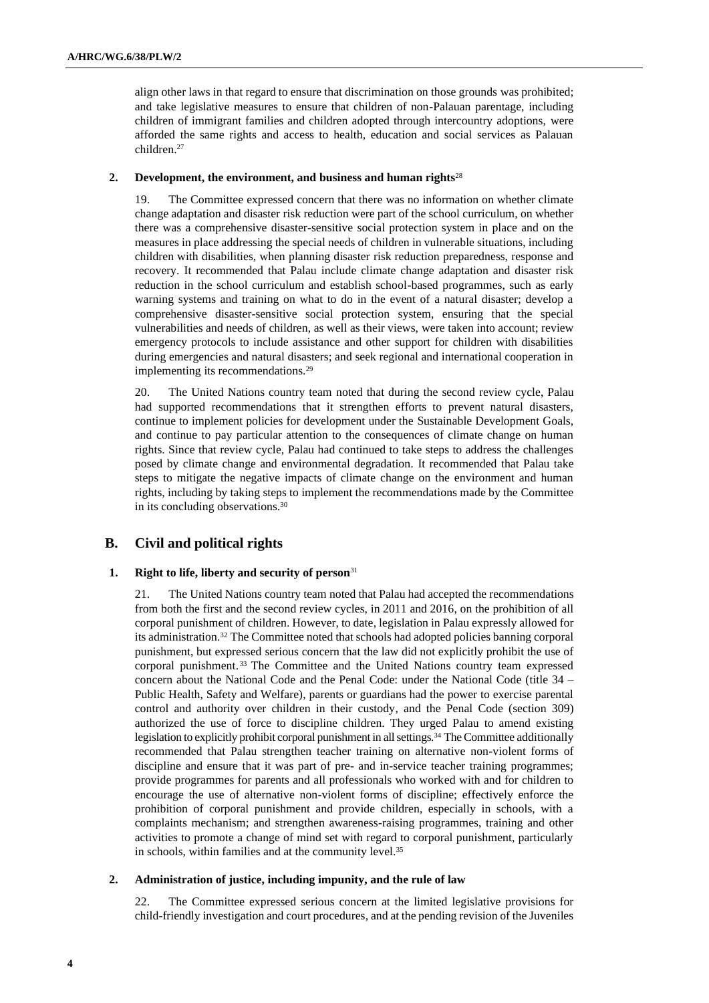align other laws in that regard to ensure that discrimination on those grounds was prohibited; and take legislative measures to ensure that children of non-Palauan parentage, including children of immigrant families and children adopted through intercountry adoptions, were afforded the same rights and access to health, education and social services as Palauan children.<sup>27</sup>

## **2. Development, the environment, and business and human rights**<sup>28</sup>

19. The Committee expressed concern that there was no information on whether climate change adaptation and disaster risk reduction were part of the school curriculum, on whether there was a comprehensive disaster-sensitive social protection system in place and on the measures in place addressing the special needs of children in vulnerable situations, including children with disabilities, when planning disaster risk reduction preparedness, response and recovery. It recommended that Palau include climate change adaptation and disaster risk reduction in the school curriculum and establish school-based programmes, such as early warning systems and training on what to do in the event of a natural disaster; develop a comprehensive disaster-sensitive social protection system, ensuring that the special vulnerabilities and needs of children, as well as their views, were taken into account; review emergency protocols to include assistance and other support for children with disabilities during emergencies and natural disasters; and seek regional and international cooperation in implementing its recommendations.<sup>29</sup>

20. The United Nations country team noted that during the second review cycle, Palau had supported recommendations that it strengthen efforts to prevent natural disasters, continue to implement policies for development under the Sustainable Development Goals, and continue to pay particular attention to the consequences of climate change on human rights. Since that review cycle, Palau had continued to take steps to address the challenges posed by climate change and environmental degradation. It recommended that Palau take steps to mitigate the negative impacts of climate change on the environment and human rights, including by taking steps to implement the recommendations made by the Committee in its concluding observations.<sup>30</sup>

## **B. Civil and political rights**

## **1. Right to life, liberty and security of person**<sup>31</sup>

21. The United Nations country team noted that Palau had accepted the recommendations from both the first and the second review cycles, in 2011 and 2016, on the prohibition of all corporal punishment of children. However, to date, legislation in Palau expressly allowed for its administration.<sup>32</sup> The Committee noted that schools had adopted policies banning corporal punishment, but expressed serious concern that the law did not explicitly prohibit the use of corporal punishment. <sup>33</sup> The Committee and the United Nations country team expressed concern about the National Code and the Penal Code: under the National Code (title 34 – Public Health, Safety and Welfare), parents or guardians had the power to exercise parental control and authority over children in their custody, and the Penal Code (section 309) authorized the use of force to discipline children. They urged Palau to amend existing legislation to explicitly prohibit corporal punishment in all settings.<sup>34</sup> The Committee additionally recommended that Palau strengthen teacher training on alternative non-violent forms of discipline and ensure that it was part of pre- and in-service teacher training programmes; provide programmes for parents and all professionals who worked with and for children to encourage the use of alternative non-violent forms of discipline; effectively enforce the prohibition of corporal punishment and provide children, especially in schools, with a complaints mechanism; and strengthen awareness-raising programmes, training and other activities to promote a change of mind set with regard to corporal punishment, particularly in schools, within families and at the community level.<sup>35</sup>

## **2. Administration of justice, including impunity, and the rule of law**

22. The Committee expressed serious concern at the limited legislative provisions for child-friendly investigation and court procedures, and at the pending revision of the Juveniles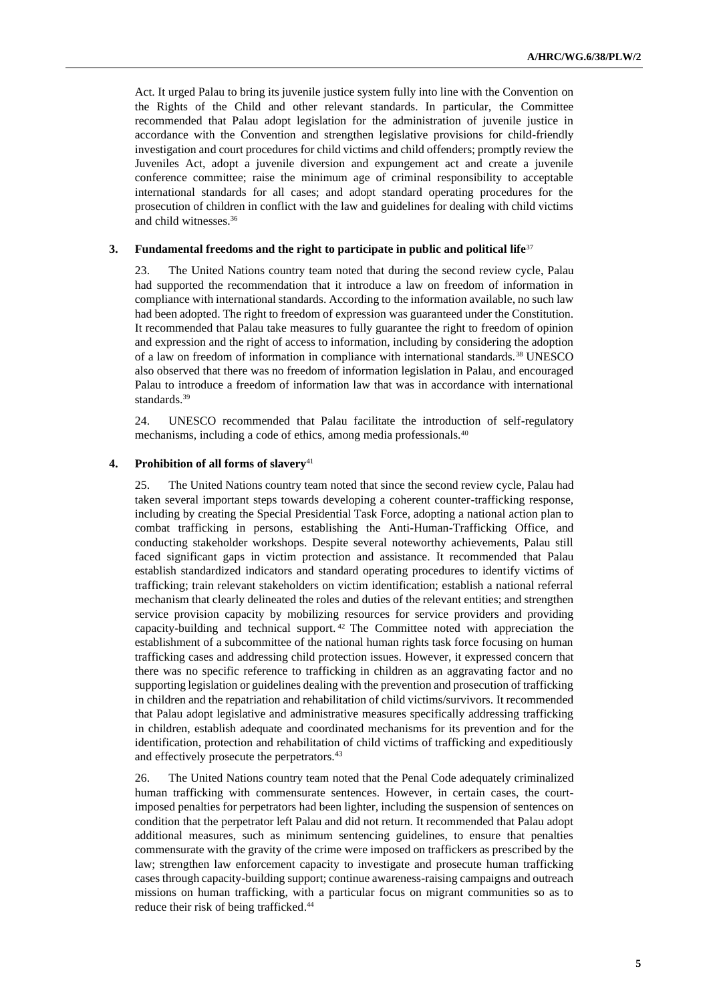Act. It urged Palau to bring its juvenile justice system fully into line with the Convention on the Rights of the Child and other relevant standards. In particular, the Committee recommended that Palau adopt legislation for the administration of juvenile justice in accordance with the Convention and strengthen legislative provisions for child-friendly investigation and court procedures for child victims and child offenders; promptly review the Juveniles Act, adopt a juvenile diversion and expungement act and create a juvenile conference committee; raise the minimum age of criminal responsibility to acceptable international standards for all cases; and adopt standard operating procedures for the prosecution of children in conflict with the law and guidelines for dealing with child victims and child witnesses.<sup>36</sup>

## **3. Fundamental freedoms and the right to participate in public and political life**<sup>37</sup>

23. The United Nations country team noted that during the second review cycle, Palau had supported the recommendation that it introduce a law on freedom of information in compliance with international standards. According to the information available, no such law had been adopted. The right to freedom of expression was guaranteed under the Constitution. It recommended that Palau take measures to fully guarantee the right to freedom of opinion and expression and the right of access to information, including by considering the adoption of a law on freedom of information in compliance with international standards.<sup>38</sup> UNESCO also observed that there was no freedom of information legislation in Palau, and encouraged Palau to introduce a freedom of information law that was in accordance with international standards.<sup>39</sup>

24. UNESCO recommended that Palau facilitate the introduction of self-regulatory mechanisms, including a code of ethics, among media professionals.<sup>40</sup>

## **4. Prohibition of all forms of slavery**<sup>41</sup>

25. The United Nations country team noted that since the second review cycle, Palau had taken several important steps towards developing a coherent counter-trafficking response, including by creating the Special Presidential Task Force, adopting a national action plan to combat trafficking in persons, establishing the Anti-Human-Trafficking Office, and conducting stakeholder workshops. Despite several noteworthy achievements, Palau still faced significant gaps in victim protection and assistance. It recommended that Palau establish standardized indicators and standard operating procedures to identify victims of trafficking; train relevant stakeholders on victim identification; establish a national referral mechanism that clearly delineated the roles and duties of the relevant entities; and strengthen service provision capacity by mobilizing resources for service providers and providing capacity-building and technical support. <sup>42</sup> The Committee noted with appreciation the establishment of a subcommittee of the national human rights task force focusing on human trafficking cases and addressing child protection issues. However, it expressed concern that there was no specific reference to trafficking in children as an aggravating factor and no supporting legislation or guidelines dealing with the prevention and prosecution of trafficking in children and the repatriation and rehabilitation of child victims/survivors. It recommended that Palau adopt legislative and administrative measures specifically addressing trafficking in children, establish adequate and coordinated mechanisms for its prevention and for the identification, protection and rehabilitation of child victims of trafficking and expeditiously and effectively prosecute the perpetrators.<sup>43</sup>

26. The United Nations country team noted that the Penal Code adequately criminalized human trafficking with commensurate sentences. However, in certain cases, the courtimposed penalties for perpetrators had been lighter, including the suspension of sentences on condition that the perpetrator left Palau and did not return. It recommended that Palau adopt additional measures, such as minimum sentencing guidelines, to ensure that penalties commensurate with the gravity of the crime were imposed on traffickers as prescribed by the law; strengthen law enforcement capacity to investigate and prosecute human trafficking cases through capacity-building support; continue awareness-raising campaigns and outreach missions on human trafficking, with a particular focus on migrant communities so as to reduce their risk of being trafficked. 44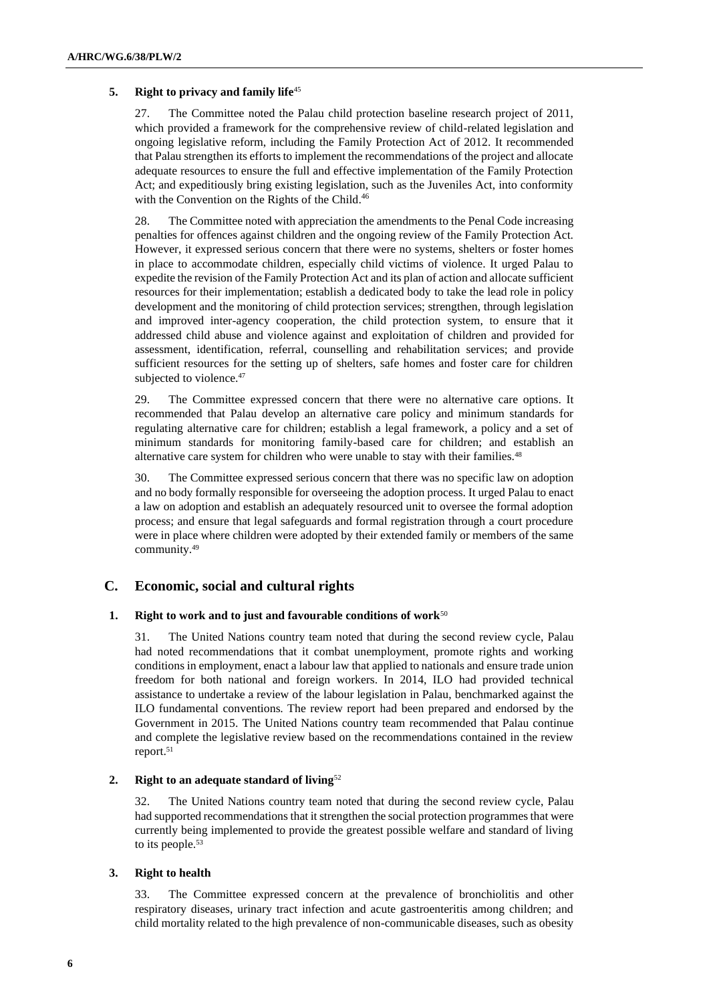## **5. Right to privacy and family life**<sup>45</sup>

27. The Committee noted the Palau child protection baseline research project of 2011, which provided a framework for the comprehensive review of child-related legislation and ongoing legislative reform, including the Family Protection Act of 2012. It recommended that Palau strengthen its efforts to implement the recommendations of the project and allocate adequate resources to ensure the full and effective implementation of the Family Protection Act; and expeditiously bring existing legislation, such as the Juveniles Act, into conformity with the Convention on the Rights of the Child.<sup>46</sup>

28. The Committee noted with appreciation the amendments to the Penal Code increasing penalties for offences against children and the ongoing review of the Family Protection Act. However, it expressed serious concern that there were no systems, shelters or foster homes in place to accommodate children, especially child victims of violence. It urged Palau to expedite the revision of the Family Protection Act and its plan of action and allocate sufficient resources for their implementation; establish a dedicated body to take the lead role in policy development and the monitoring of child protection services; strengthen, through legislation and improved inter-agency cooperation, the child protection system, to ensure that it addressed child abuse and violence against and exploitation of children and provided for assessment, identification, referral, counselling and rehabilitation services; and provide sufficient resources for the setting up of shelters, safe homes and foster care for children subjected to violence.<sup>47</sup>

29. The Committee expressed concern that there were no alternative care options. It recommended that Palau develop an alternative care policy and minimum standards for regulating alternative care for children; establish a legal framework, a policy and a set of minimum standards for monitoring family-based care for children; and establish an alternative care system for children who were unable to stay with their families.<sup>48</sup>

30. The Committee expressed serious concern that there was no specific law on adoption and no body formally responsible for overseeing the adoption process. It urged Palau to enact a law on adoption and establish an adequately resourced unit to oversee the formal adoption process; and ensure that legal safeguards and formal registration through a court procedure were in place where children were adopted by their extended family or members of the same community.<sup>49</sup>

## **C. Economic, social and cultural rights**

## **1. Right to work and to just and favourable conditions of work**<sup>50</sup>

31. The United Nations country team noted that during the second review cycle, Palau had noted recommendations that it combat unemployment, promote rights and working conditions in employment, enact a labour law that applied to nationals and ensure trade union freedom for both national and foreign workers. In 2014, ILO had provided technical assistance to undertake a review of the labour legislation in Palau, benchmarked against the ILO fundamental conventions. The review report had been prepared and endorsed by the Government in 2015. The United Nations country team recommended that Palau continue and complete the legislative review based on the recommendations contained in the review report.<sup>51</sup>

## **2. Right to an adequate standard of living**<sup>52</sup>

32. The United Nations country team noted that during the second review cycle, Palau had supported recommendations that itstrengthen the social protection programmes that were currently being implemented to provide the greatest possible welfare and standard of living to its people.<sup>53</sup>

## **3. Right to health**

33. The Committee expressed concern at the prevalence of bronchiolitis and other respiratory diseases, urinary tract infection and acute gastroenteritis among children; and child mortality related to the high prevalence of non-communicable diseases, such as obesity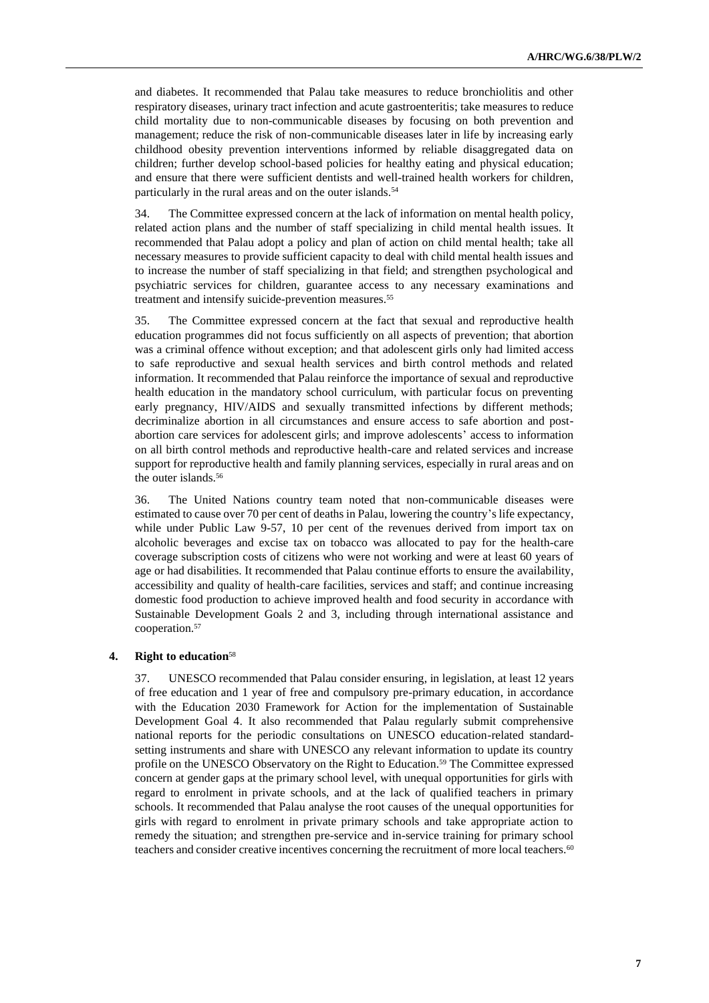and diabetes. It recommended that Palau take measures to reduce bronchiolitis and other respiratory diseases, urinary tract infection and acute gastroenteritis; take measures to reduce child mortality due to non-communicable diseases by focusing on both prevention and management; reduce the risk of non-communicable diseases later in life by increasing early childhood obesity prevention interventions informed by reliable disaggregated data on children; further develop school-based policies for healthy eating and physical education; and ensure that there were sufficient dentists and well-trained health workers for children, particularly in the rural areas and on the outer islands.<sup>54</sup>

34. The Committee expressed concern at the lack of information on mental health policy, related action plans and the number of staff specializing in child mental health issues. It recommended that Palau adopt a policy and plan of action on child mental health; take all necessary measures to provide sufficient capacity to deal with child mental health issues and to increase the number of staff specializing in that field; and strengthen psychological and psychiatric services for children, guarantee access to any necessary examinations and treatment and intensify suicide-prevention measures.<sup>55</sup>

35. The Committee expressed concern at the fact that sexual and reproductive health education programmes did not focus sufficiently on all aspects of prevention; that abortion was a criminal offence without exception; and that adolescent girls only had limited access to safe reproductive and sexual health services and birth control methods and related information. It recommended that Palau reinforce the importance of sexual and reproductive health education in the mandatory school curriculum, with particular focus on preventing early pregnancy, HIV/AIDS and sexually transmitted infections by different methods; decriminalize abortion in all circumstances and ensure access to safe abortion and postabortion care services for adolescent girls; and improve adolescents' access to information on all birth control methods and reproductive health-care and related services and increase support for reproductive health and family planning services, especially in rural areas and on the outer islands.<sup>56</sup>

36. The United Nations country team noted that non-communicable diseases were estimated to cause over 70 per cent of deaths in Palau, lowering the country's life expectancy, while under Public Law 9-57, 10 per cent of the revenues derived from import tax on alcoholic beverages and excise tax on tobacco was allocated to pay for the health-care coverage subscription costs of citizens who were not working and were at least 60 years of age or had disabilities. It recommended that Palau continue efforts to ensure the availability, accessibility and quality of health-care facilities, services and staff; and continue increasing domestic food production to achieve improved health and food security in accordance with Sustainable Development Goals 2 and 3, including through international assistance and cooperation.<sup>57</sup>

## **4. Right to education**<sup>58</sup>

37. UNESCO recommended that Palau consider ensuring, in legislation, at least 12 years of free education and 1 year of free and compulsory pre-primary education, in accordance with the Education 2030 Framework for Action for the implementation of Sustainable Development Goal 4. It also recommended that Palau regularly submit comprehensive national reports for the periodic consultations on UNESCO education-related standardsetting instruments and share with UNESCO any relevant information to update its country profile on the UNESCO Observatory on the Right to Education.<sup>59</sup> The Committee expressed concern at gender gaps at the primary school level, with unequal opportunities for girls with regard to enrolment in private schools, and at the lack of qualified teachers in primary schools. It recommended that Palau analyse the root causes of the unequal opportunities for girls with regard to enrolment in private primary schools and take appropriate action to remedy the situation; and strengthen pre-service and in-service training for primary school teachers and consider creative incentives concerning the recruitment of more local teachers.<sup>60</sup>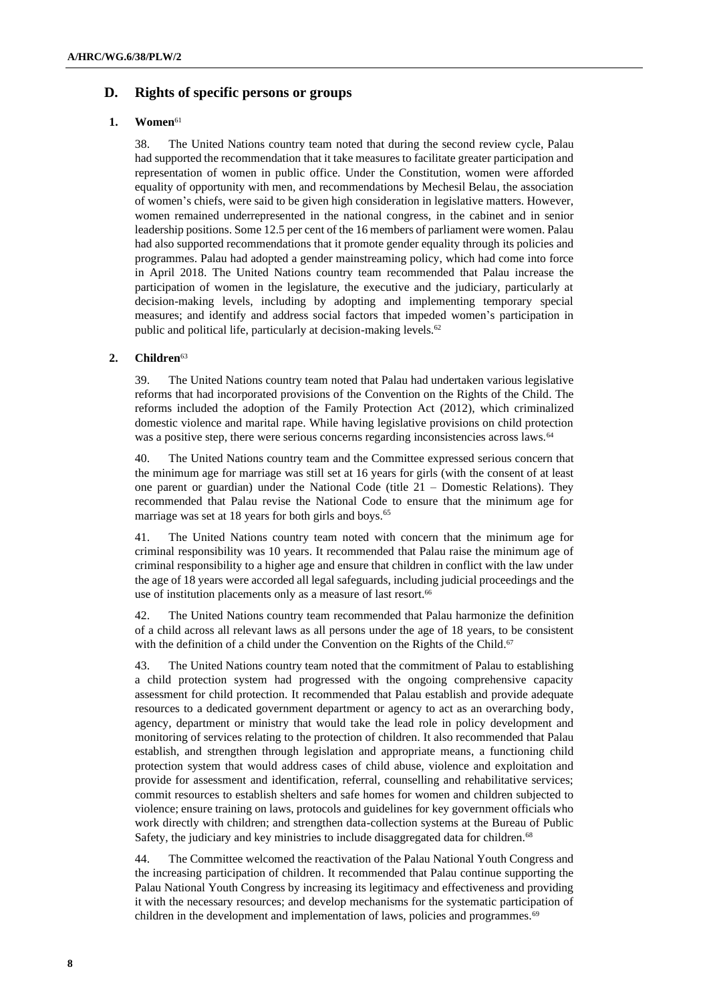## **D. Rights of specific persons or groups**

## **1. Women**<sup>61</sup>

38. The United Nations country team noted that during the second review cycle, Palau had supported the recommendation that it take measures to facilitate greater participation and representation of women in public office. Under the Constitution, women were afforded equality of opportunity with men, and recommendations by Mechesil Belau, the association of women's chiefs, were said to be given high consideration in legislative matters. However, women remained underrepresented in the national congress, in the cabinet and in senior leadership positions. Some 12.5 per cent of the 16 members of parliament were women. Palau had also supported recommendations that it promote gender equality through its policies and programmes. Palau had adopted a gender mainstreaming policy, which had come into force in April 2018. The United Nations country team recommended that Palau increase the participation of women in the legislature, the executive and the judiciary, particularly at decision-making levels, including by adopting and implementing temporary special measures; and identify and address social factors that impeded women's participation in public and political life, particularly at decision-making levels.<sup>62</sup>

## **2. Children**<sup>63</sup>

39. The United Nations country team noted that Palau had undertaken various legislative reforms that had incorporated provisions of the Convention on the Rights of the Child. The reforms included the adoption of the Family Protection Act (2012), which criminalized domestic violence and marital rape. While having legislative provisions on child protection was a positive step, there were serious concerns regarding inconsistencies across laws.<sup>64</sup>

40. The United Nations country team and the Committee expressed serious concern that the minimum age for marriage was still set at 16 years for girls (with the consent of at least one parent or guardian) under the National Code (title 21 – Domestic Relations). They recommended that Palau revise the National Code to ensure that the minimum age for marriage was set at 18 years for both girls and boys.<sup>65</sup>

41. The United Nations country team noted with concern that the minimum age for criminal responsibility was 10 years. It recommended that Palau raise the minimum age of criminal responsibility to a higher age and ensure that children in conflict with the law under the age of 18 years were accorded all legal safeguards, including judicial proceedings and the use of institution placements only as a measure of last resort.<sup>66</sup>

42. The United Nations country team recommended that Palau harmonize the definition of a child across all relevant laws as all persons under the age of 18 years, to be consistent with the definition of a child under the Convention on the Rights of the Child.<sup>67</sup>

43. The United Nations country team noted that the commitment of Palau to establishing a child protection system had progressed with the ongoing comprehensive capacity assessment for child protection. It recommended that Palau establish and provide adequate resources to a dedicated government department or agency to act as an overarching body, agency, department or ministry that would take the lead role in policy development and monitoring of services relating to the protection of children. It also recommended that Palau establish, and strengthen through legislation and appropriate means, a functioning child protection system that would address cases of child abuse, violence and exploitation and provide for assessment and identification, referral, counselling and rehabilitative services; commit resources to establish shelters and safe homes for women and children subjected to violence; ensure training on laws, protocols and guidelines for key government officials who work directly with children; and strengthen data-collection systems at the Bureau of Public Safety, the judiciary and key ministries to include disaggregated data for children.<sup>68</sup>

44. The Committee welcomed the reactivation of the Palau National Youth Congress and the increasing participation of children. It recommended that Palau continue supporting the Palau National Youth Congress by increasing its legitimacy and effectiveness and providing it with the necessary resources; and develop mechanisms for the systematic participation of children in the development and implementation of laws, policies and programmes.<sup>69</sup>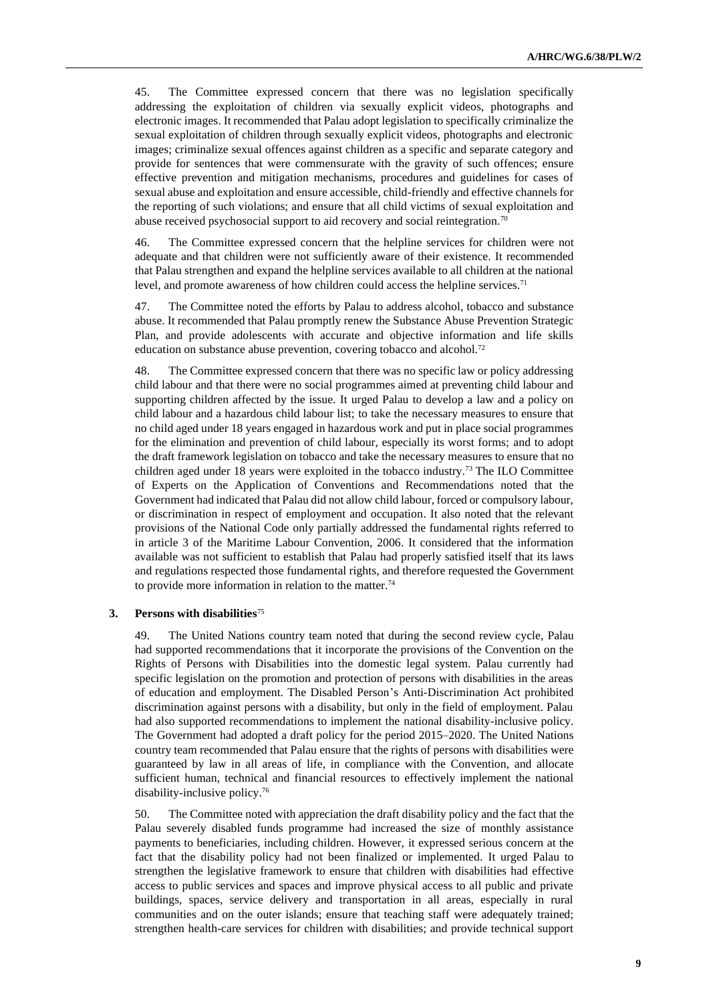45. The Committee expressed concern that there was no legislation specifically addressing the exploitation of children via sexually explicit videos, photographs and electronic images. It recommended that Palau adopt legislation to specifically criminalize the sexual exploitation of children through sexually explicit videos, photographs and electronic images; criminalize sexual offences against children as a specific and separate category and provide for sentences that were commensurate with the gravity of such offences; ensure effective prevention and mitigation mechanisms, procedures and guidelines for cases of sexual abuse and exploitation and ensure accessible, child-friendly and effective channels for the reporting of such violations; and ensure that all child victims of sexual exploitation and abuse received psychosocial support to aid recovery and social reintegration.<sup>70</sup>

46. The Committee expressed concern that the helpline services for children were not adequate and that children were not sufficiently aware of their existence. It recommended that Palau strengthen and expand the helpline services available to all children at the national level, and promote awareness of how children could access the helpline services.<sup>71</sup>

47. The Committee noted the efforts by Palau to address alcohol, tobacco and substance abuse. It recommended that Palau promptly renew the Substance Abuse Prevention Strategic Plan, and provide adolescents with accurate and objective information and life skills education on substance abuse prevention, covering tobacco and alcohol.<sup>72</sup>

48. The Committee expressed concern that there was no specific law or policy addressing child labour and that there were no social programmes aimed at preventing child labour and supporting children affected by the issue. It urged Palau to develop a law and a policy on child labour and a hazardous child labour list; to take the necessary measures to ensure that no child aged under 18 years engaged in hazardous work and put in place social programmes for the elimination and prevention of child labour, especially its worst forms; and to adopt the draft framework legislation on tobacco and take the necessary measures to ensure that no children aged under 18 years were exploited in the tobacco industry.<sup>73</sup> The ILO Committee of Experts on the Application of Conventions and Recommendations noted that the Government had indicated that Palau did not allow child labour, forced or compulsory labour, or discrimination in respect of employment and occupation. It also noted that the relevant provisions of the National Code only partially addressed the fundamental rights referred to in article 3 of the Maritime Labour Convention, 2006. It considered that the information available was not sufficient to establish that Palau had properly satisfied itself that its laws and regulations respected those fundamental rights, and therefore requested the Government to provide more information in relation to the matter.<sup>74</sup>

## **3. Persons with disabilities**<sup>75</sup>

49. The United Nations country team noted that during the second review cycle, Palau had supported recommendations that it incorporate the provisions of the Convention on the Rights of Persons with Disabilities into the domestic legal system. Palau currently had specific legislation on the promotion and protection of persons with disabilities in the areas of education and employment. The Disabled Person's Anti-Discrimination Act prohibited discrimination against persons with a disability, but only in the field of employment. Palau had also supported recommendations to implement the national disability-inclusive policy. The Government had adopted a draft policy for the period 2015–2020. The United Nations country team recommended that Palau ensure that the rights of persons with disabilities were guaranteed by law in all areas of life, in compliance with the Convention, and allocate sufficient human, technical and financial resources to effectively implement the national disability-inclusive policy.<sup>76</sup>

50. The Committee noted with appreciation the draft disability policy and the fact that the Palau severely disabled funds programme had increased the size of monthly assistance payments to beneficiaries, including children. However, it expressed serious concern at the fact that the disability policy had not been finalized or implemented. It urged Palau to strengthen the legislative framework to ensure that children with disabilities had effective access to public services and spaces and improve physical access to all public and private buildings, spaces, service delivery and transportation in all areas, especially in rural communities and on the outer islands; ensure that teaching staff were adequately trained; strengthen health-care services for children with disabilities; and provide technical support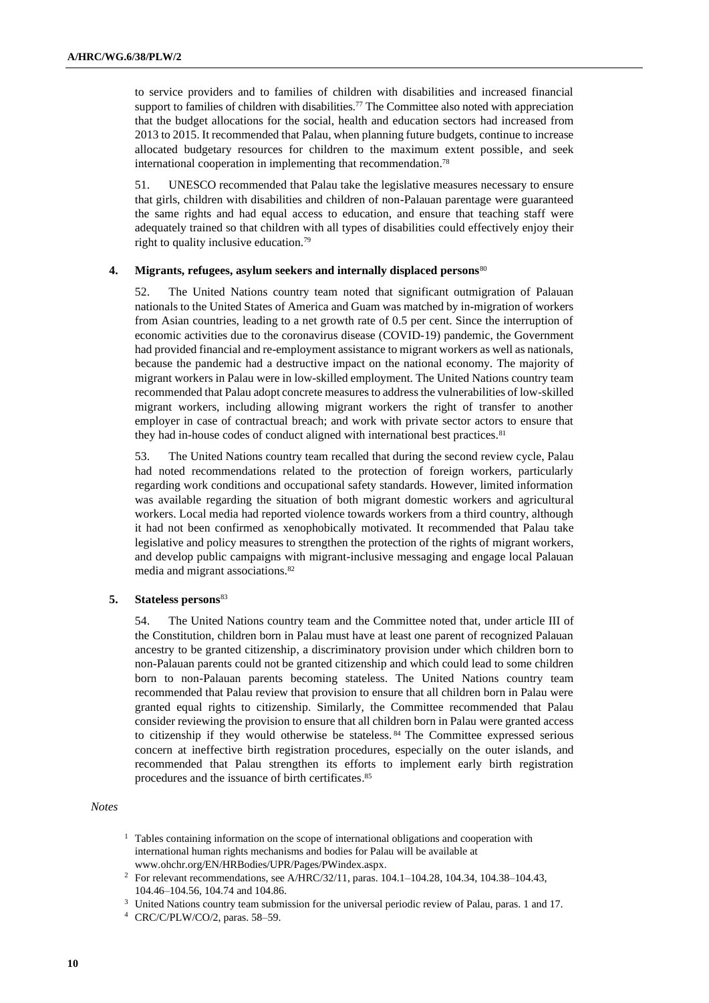to service providers and to families of children with disabilities and increased financial support to families of children with disabilities.<sup>77</sup> The Committee also noted with appreciation that the budget allocations for the social, health and education sectors had increased from 2013 to 2015. It recommended that Palau, when planning future budgets, continue to increase allocated budgetary resources for children to the maximum extent possible, and seek international cooperation in implementing that recommendation.<sup>78</sup>

51. UNESCO recommended that Palau take the legislative measures necessary to ensure that girls, children with disabilities and children of non-Palauan parentage were guaranteed the same rights and had equal access to education, and ensure that teaching staff were adequately trained so that children with all types of disabilities could effectively enjoy their right to quality inclusive education.<sup>79</sup>

#### **4. Migrants, refugees, asylum seekers and internally displaced persons**<sup>80</sup>

52. The United Nations country team noted that significant outmigration of Palauan nationals to the United States of America and Guam was matched by in-migration of workers from Asian countries, leading to a net growth rate of 0.5 per cent. Since the interruption of economic activities due to the coronavirus disease (COVID-19) pandemic, the Government had provided financial and re-employment assistance to migrant workers as well as nationals, because the pandemic had a destructive impact on the national economy. The majority of migrant workers in Palau were in low-skilled employment. The United Nations country team recommended that Palau adopt concrete measures to address the vulnerabilities of low-skilled migrant workers, including allowing migrant workers the right of transfer to another employer in case of contractual breach; and work with private sector actors to ensure that they had in-house codes of conduct aligned with international best practices.<sup>81</sup>

53. The United Nations country team recalled that during the second review cycle, Palau had noted recommendations related to the protection of foreign workers, particularly regarding work conditions and occupational safety standards. However, limited information was available regarding the situation of both migrant domestic workers and agricultural workers. Local media had reported violence towards workers from a third country, although it had not been confirmed as xenophobically motivated. It recommended that Palau take legislative and policy measures to strengthen the protection of the rights of migrant workers, and develop public campaigns with migrant-inclusive messaging and engage local Palauan media and migrant associations.<sup>82</sup>

## **5. Stateless persons**<sup>83</sup>

54. The United Nations country team and the Committee noted that, under article III of the Constitution, children born in Palau must have at least one parent of recognized Palauan ancestry to be granted citizenship, a discriminatory provision under which children born to non-Palauan parents could not be granted citizenship and which could lead to some children born to non-Palauan parents becoming stateless. The United Nations country team recommended that Palau review that provision to ensure that all children born in Palau were granted equal rights to citizenship. Similarly, the Committee recommended that Palau consider reviewing the provision to ensure that all children born in Palau were granted access to citizenship if they would otherwise be stateless. <sup>84</sup> The Committee expressed serious concern at ineffective birth registration procedures, especially on the outer islands, and recommended that Palau strengthen its efforts to implement early birth registration procedures and the issuance of birth certificates. 85

## *Notes*

- <sup>1</sup> Tables containing information on the scope of international obligations and cooperation with international human rights mechanisms and bodies for Palau will be available at www.ohchr.org/EN/HRBodies/UPR/Pages/PWindex.aspx.
- <sup>2</sup> For relevant recommendations, see A/HRC/32/11, paras. 104.1–104.28, 104.34, 104.38–104.43, 104.46–104.56, 104.74 and 104.86.
- <sup>3</sup> United Nations country team submission for the universal periodic review of Palau, paras. 1 and 17.
- <sup>4</sup> CRC/C/PLW/CO/2, paras. 58–59.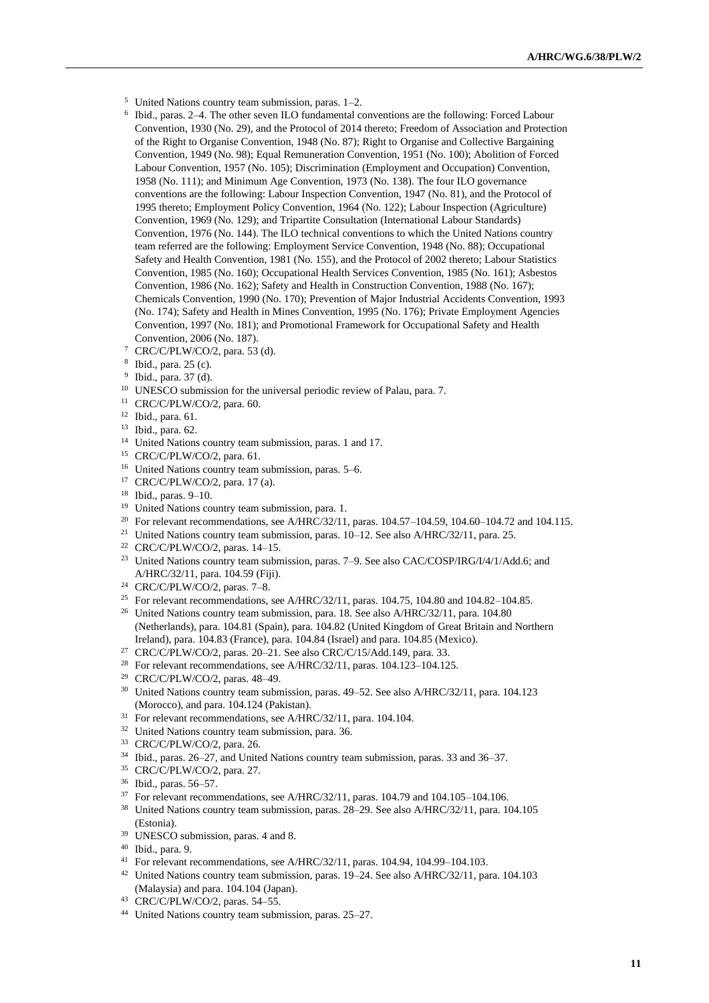- <sup>5</sup> United Nations country team submission, paras. 1–2.
- 6 Ibid., paras. 2–4. The other seven ILO fundamental conventions are the following: Forced Labour Convention, 1930 (No. 29), and the Protocol of 2014 thereto; Freedom of Association and Protection of the Right to Organise Convention, 1948 (No. 87); Right to Organise and Collective Bargaining Convention, 1949 (No. 98); Equal Remuneration Convention, 1951 (No. 100); Abolition of Forced Labour Convention, 1957 (No. 105); Discrimination (Employment and Occupation) Convention, 1958 (No. 111); and Minimum Age Convention, 1973 (No. 138). The four ILO governance conventions are the following: Labour Inspection Convention, 1947 (No. 81), and the Protocol of 1995 thereto; Employment Policy Convention, 1964 (No. 122); Labour Inspection (Agriculture) Convention, 1969 (No. 129); and Tripartite Consultation (International Labour Standards) Convention, 1976 (No. 144). The ILO technical conventions to which the United Nations country team referred are the following: Employment Service Convention, 1948 (No. 88); Occupational Safety and Health Convention, 1981 (No. 155), and the Protocol of 2002 thereto; Labour Statistics Convention, 1985 (No. 160); Occupational Health Services Convention, 1985 (No. 161); Asbestos Convention, 1986 (No. 162); Safety and Health in Construction Convention, 1988 (No. 167); Chemicals Convention, 1990 (No. 170); Prevention of Major Industrial Accidents Convention, 1993 (No. 174); Safety and Health in Mines Convention, 1995 (No. 176); Private Employment Agencies Convention, 1997 (No. 181); and Promotional Framework for Occupational Safety and Health Convention, 2006 (No. 187).
- <sup>7</sup> CRC/C/PLW/CO/2, para. 53 (d).
- 8 Ibid., para. 25 (c).
- 9 Ibid., para. 37 (d).
- <sup>10</sup> UNESCO submission for the universal periodic review of Palau, para. 7.
- <sup>11</sup> CRC/C/PLW/CO/2, para. 60.
- <sup>12</sup> Ibid., para. 61.
- <sup>13</sup> Ibid., para. 62.
- <sup>14</sup> United Nations country team submission, paras. 1 and 17.
- <sup>15</sup> CRC/C/PLW/CO/2, para. 61.
- <sup>16</sup> United Nations country team submission, paras. 5–6.
- <sup>17</sup> CRC/C/PLW/CO/2, para. 17 (a).
- <sup>18</sup> Ibid., paras. 9–10.
- <sup>19</sup> United Nations country team submission, para. 1.
- <sup>20</sup> For relevant recommendations, see A/HRC/32/11, paras.  $104.57-104.59$ ,  $104.60-104.72$  and  $104.115$ .
- <sup>21</sup> United Nations country team submission, paras. 10–12. See also A/HRC/32/11, para. 25.
- <sup>22</sup> CRC/C/PLW/CO/2, paras. 14–15.
- <sup>23</sup> United Nations country team submission, paras. 7–9. See also CAC/COSP/IRG/I/4/1/Add.6; and A/HRC/32/11, para. 104.59 (Fiji).
- <sup>24</sup> CRC/C/PLW/CO/2, paras. 7–8.
- <sup>25</sup> For relevant recommendations, see A/HRC/32/11, paras. 104.75, 104.80 and 104.82-104.85.
- <sup>26</sup> United Nations country team submission, para. 18. See also A/HRC/32/11, para. 104.80 (Netherlands), para. 104.81 (Spain), para. 104.82 (United Kingdom of Great Britain and Northern Ireland), para. 104.83 (France), para. 104.84 (Israel) and para. 104.85 (Mexico).
- <sup>27</sup> CRC/C/PLW/CO/2, paras. 20–21. See also CRC/C/15/Add.149, para. 33.
- <sup>28</sup> For relevant recommendations, see A/HRC/32/11, paras.  $104.123-104.125$ .
- <sup>29</sup> CRC/C/PLW/CO/2, paras. 48–49.
- <sup>30</sup> United Nations country team submission, paras. 49–52. See also A/HRC/32/11, para. 104.123 (Morocco), and para. 104.124 (Pakistan).
- <sup>31</sup> For relevant recommendations, see A/HRC/32/11, para. 104.104.
- <sup>32</sup> United Nations country team submission, para. 36.
- <sup>33</sup> CRC/C/PLW/CO/2, para. 26.
- <sup>34</sup> Ibid., paras. 26–27, and United Nations country team submission, paras. 33 and 36–37.
- <sup>35</sup> CRC/C/PLW/CO/2, para. 27.
- <sup>36</sup> Ibid., paras. 56–57.
- <sup>37</sup> For relevant recommendations, see A/HRC/32/11, paras. 104.79 and 104.105–104.106.
- <sup>38</sup> United Nations country team submission, paras. 28–29. See also A/HRC/32/11, para. 104.105 (Estonia).
- <sup>39</sup> UNESCO submission, paras. 4 and 8.
- <sup>40</sup> Ibid., para. 9.
- <sup>41</sup> For relevant recommendations, see A/HRC/32/11, paras. 104.94, 104.99–104.103.
- <sup>42</sup> United Nations country team submission, paras. 19–24. See also A/HRC/32/11, para. 104.103 (Malaysia) and para. 104.104 (Japan).
- <sup>43</sup> CRC/C/PLW/CO/2, paras. 54–55.
- <sup>44</sup> United Nations country team submission, paras. 25–27.